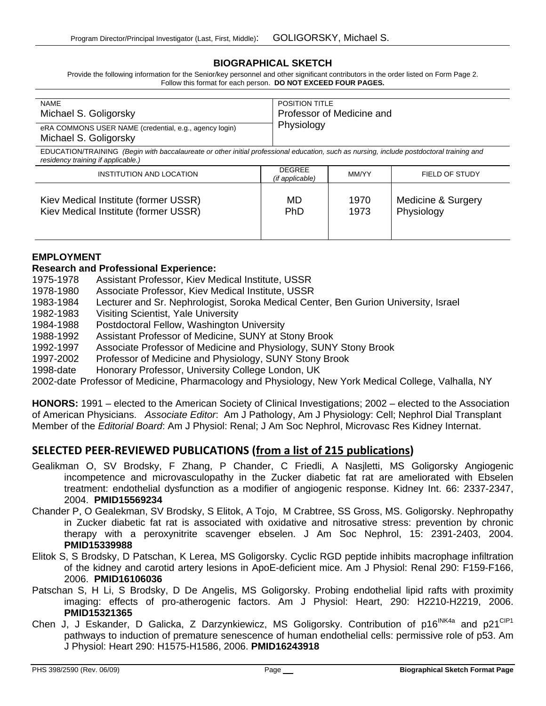#### **BIOGRAPHICAL SKETCH**

Provide the following information for the Senior/key personnel and other significant contributors in the order listed on Form Page 2. Follow this format for each person. **DO NOT EXCEED FOUR PAGES.**

| <b>NAME</b>                                                                     | <b>POSITION TITLE</b>     |
|---------------------------------------------------------------------------------|---------------------------|
| Michael S. Goligorsky                                                           | Professor of Medicine and |
| eRA COMMONS USER NAME (credential, e.g., agency login)<br>Michael S. Goligorsky | Physiology                |

EDUCATION/TRAINING *(Begin with baccalaureate or other initial professional education, such as nursing, include postdoctoral training and residency training if applicable.)*

| INSTITUTION AND LOCATION             | <b>DEGREE</b><br>(if applicable) | MM/YY | FIELD OF STUDY     |
|--------------------------------------|----------------------------------|-------|--------------------|
| Kiev Medical Institute (former USSR) | MD                               | 1970  | Medicine & Surgery |
| Kiev Medical Institute (former USSR) | <b>PhD</b>                       | 1973  | Physiology         |

#### **EMPLOYMENT**

#### **Research and Professional Experience:**

- 1975-1978 Assistant Professor, Kiev Medical Institute, USSR
- 1978-1980 Associate Professor, Kiev Medical Institute, USSR
- 1983-1984 Lecturer and Sr. Nephrologist, Soroka Medical Center, Ben Gurion University, Israel
- 1982-1983 Visiting Scientist, Yale University
- 1984-1988 Postdoctoral Fellow, Washington University
- 1988-1992 Assistant Professor of Medicine, SUNY at Stony Brook
- 1992-1997 Associate Professor of Medicine and Physiology, SUNY Stony Brook
- 1997-2002 Professor of Medicine and Physiology, SUNY Stony Brook
- 1998-date Honorary Professor, University College London, UK

2002-date Professor of Medicine, Pharmacology and Physiology, New York Medical College, Valhalla, NY

**HONORS:** 1991 – elected to the American Society of Clinical Investigations; 2002 – elected to the Association of American Physicians. *Associate Editor*: Am J Pathology, Am J Physiology: Cell; Nephrol Dial Transplant Member of the *Editorial Board*: Am J Physiol: Renal; J Am Soc Nephrol, Microvasc Res Kidney Internat.

# **SELECTED PEER‐REVIEWED PUBLICATIONS (from a list of 215 publications)**

- Gealikman O, SV Brodsky, F Zhang, P Chander, C Friedli, A Nasjletti, MS Goligorsky Angiogenic incompetence and microvasculopathy in the Zucker diabetic fat rat are ameliorated with Ebselen treatment: endothelial dysfunction as a modifier of angiogenic response. Kidney Int. 66: 2337-2347, 2004. **PMID15569234**
- Chander P, O Gealekman, SV Brodsky, S Elitok, A Tojo, M Crabtree, SS Gross, MS. Goligorsky. Nephropathy in Zucker diabetic fat rat is associated with oxidative and nitrosative stress: prevention by chronic therapy with a peroxynitrite scavenger ebselen. J Am Soc Nephrol, 15: 2391-2403, 2004. **PMID15339988**
- Elitok S, S Brodsky, D Patschan, K Lerea, MS Goligorsky. Cyclic RGD peptide inhibits macrophage infiltration of the kidney and carotid artery lesions in ApoE-deficient mice. Am J Physiol: Renal 290: F159-F166, 2006. **PMID16106036**
- Patschan S, H Li, S Brodsky, D De Angelis, MS Goligorsky. Probing endothelial lipid rafts with proximity imaging: effects of pro-atherogenic factors. Am J Physiol: Heart, 290: H2210-H2219, 2006. **PMID15321365**
- Chen J, J Eskander, D Galicka, Z Darzynkiewicz, MS Goligorsky. Contribution of p16<sup>INK4a</sup> and p21<sup>CIP1</sup> pathways to induction of premature senescence of human endothelial cells: permissive role of p53. Am J Physiol: Heart 290: H1575-H1586, 2006. **PMID16243918**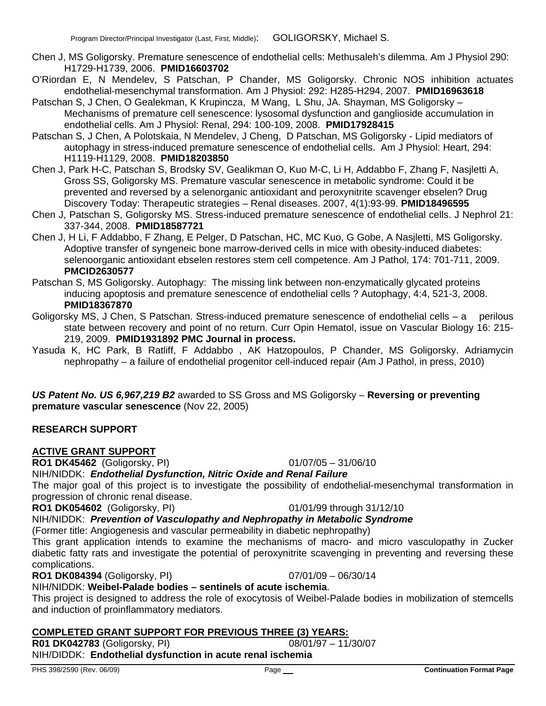- Chen J, MS Goligorsky. Premature senescence of endothelial cells: Methusaleh's dilemma. Am J Physiol 290: H1729-H1739, 2006. **PMID16603702**
- O'Riordan E, N Mendelev, S Patschan, P Chander, MS Goligorsky. Chronic NOS inhibition actuates endothelial-mesenchymal transformation. Am J Physiol: 292: H285-H294, 2007. **PMID16963618**
- Patschan S, J Chen, O Gealekman, K Krupincza, M Wang, L Shu, JA. Shayman, MS Goligorsky Mechanisms of premature cell senescence: lysosomal dysfunction and ganglioside accumulation in endothelial cells. Am J Physiol: Renal, 294: 100-109, 2008. **PMID17928415**
- Patschan S, J Chen, A Polotskaia, N Mendelev, J Cheng, D Patschan, MS Goligorsky Lipid mediators of autophagy in stress-induced premature senescence of endothelial cells. Am J Physiol: Heart, 294: H1119-H1129, 2008. **PMID18203850**
- Chen J, Park H-C, Patschan S, Brodsky SV, Gealikman O, Kuo M-C, Li H, Addabbo F, Zhang F, Nasjletti A, Gross SS, Goligorsky MS. Premature vascular senescence in metabolic syndrome: Could it be prevented and reversed by a selenorganic antioxidant and peroxynitrite scavenger ebselen? Drug Discovery Today: Therapeutic strategies – Renal diseases. 2007, 4(1):93-99. **PMID18496595**
- Chen J, Patschan S, Goligorsky MS. Stress-induced premature senescence of endothelial cells. J Nephrol 21: 337-344, 2008. **PMID18587721**
- Chen J, H Li, F Addabbo, F Zhang, E Pelger, D Patschan, HC, MC Kuo, G Gobe, A Nasjletti, MS Goligorsky. Adoptive transfer of syngeneic bone marrow-derived cells in mice with obesity-induced diabetes: selenoorganic antioxidant ebselen restores stem cell competence. Am J Pathol, 174: 701-711, 2009. **PMCID2630577**
- Patschan S, MS Goligorsky. Autophagy: The missing link between non-enzymatically glycated proteins inducing apoptosis and premature senescence of endothelial cells ? Autophagy, 4:4, 521-3, 2008. **PMID18367870**
- Goligorsky MS, J Chen, S Patschan. Stress-induced premature senescence of endothelial cells a perilous state between recovery and point of no return. Curr Opin Hematol, issue on Vascular Biology 16: 215- 219, 2009. **PMID1931892 PMC Journal in process.**
- Yasuda K, HC Park, B Ratliff, F Addabbo , AK Hatzopoulos, P Chander, MS Goligorsky. Adriamycin nephropathy – a failure of endothelial progenitor cell-induced repair (Am J Pathol, in press, 2010)

*US Patent No. US 6,967,219 B2* awarded to SS Gross and MS Goligorsky – **Reversing or preventing premature vascular senescence** (Nov 22, 2005)

# **RESEARCH SUPPORT**

# **ACTIVE GRANT SUPPORT**

**RO1 DK45462** (Goligorsky, PI) 01/07/05 – 31/06/10

NIH/NIDDK: *Endothelial Dysfunction, Nitric Oxide and Renal Failure* 

The major goal of this project is to investigate the possibility of endothelial-mesenchymal transformation in progression of chronic renal disease.

#### **RO1 DK054602** (Goligorsky, PI) 01/01/99 through 31/12/10

NIH/NIDDK: *Prevention of Vasculopathy and Nephropathy in Metabolic Syndrome* 

(Former title: Angiogenesis and vascular permeability in diabetic nephropathy)

This grant application intends to examine the mechanisms of macro- and micro vasculopathy in Zucker diabetic fatty rats and investigate the potential of peroxynitrite scavenging in preventing and reversing these complications.

**RO1 DK084394** (Goligorsky, PI) 07/01/09 – 06/30/14

NIH/NIDDK: **Weibel-Palade bodies – sentinels of acute ischemia**.

This project is designed to address the role of exocytosis of Weibel-Palade bodies in mobilization of stemcells and induction of proinflammatory mediators.

# **COMPLETED GRANT SUPPORT FOR PREVIOUS THREE (3) YEARS:**

**R01 DK042783** (Goligorsky, PI) 08/01/97 – 11/30/07

# NIH/DIDDK: **Endothelial dysfunction in acute renal ischemia**